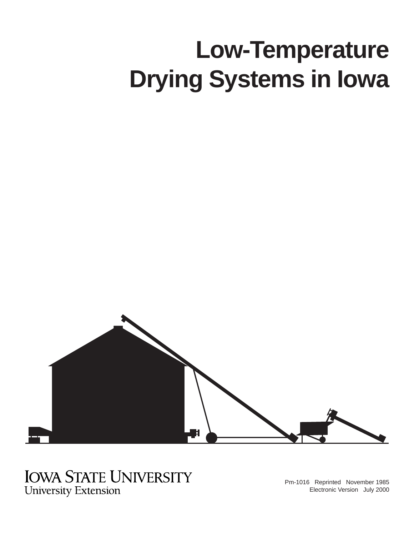# **Low-Temperature Drying Systems in Iowa**



# **IOWA STATE UNIVERSITY**

**University Extension** 

Pm-1016 Reprinted November 1985 Electronic Version July 2000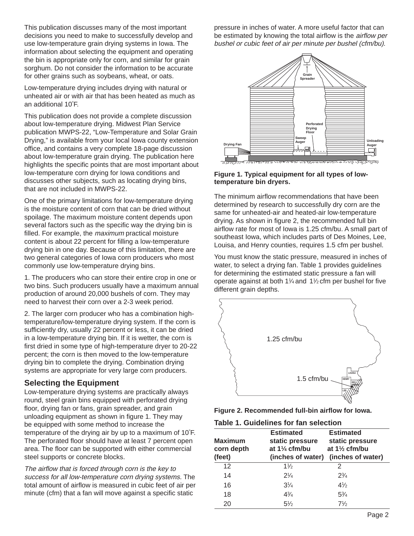This publication discusses many of the most important decisions you need to make to successfully develop and use low-temperature grain drying systems in Iowa. The information about selecting the equipment and operating the bin is appropriate only for corn, and similar for grain sorghum. Do not consider the information to be accurate for other grains such as soybeans, wheat, or oats.

Low-temperature drying includes drying with natural or unheated air or with air that has been heated as much as an additional 10°F.

This publication does not provide a complete discussion about low-temperature drying. Midwest Plan Service publication MWPS-22, "Low-Temperature and Solar Grain Drying," is available from your local Iowa county extension office, and contains a very complete 18-page discussion about low-temperature grain drying. The publication here highlights the specific points that are most important about low-temperature corn drying for Iowa conditions and discusses other subjects, such as locating drying bins, that are not included in MWPS-22.

One of the primary limitations for low-temperature drying is the moisture content of corn that can be dried without spoilage. The maximum moisture content depends upon several factors such as the specific way the drying bin is filled. For example, the *maximum* practical moisture content is about 22 percent for filling a low-temperature drying bin in one day. Because of this limitation, there are two general categories of Iowa corn producers who most commonly use low-temperature drying bins.

1. The producers who can store their entire crop in one or two bins. Such producers usually have a maximum annual production of around 20,000 bushels of corn. They may need to harvest their corn over a 2-3 week period.

2. The larger corn producer who has a combination hightemperature/low-temperature drying system. If the corn is sufficiently dry, usually 22 percent or less, it can be dried in a low-temperature drying bin. If it is wetter, the corn is first dried in some type of high-temperature dryer to 20-22 percent; the corn is then moved to the low-temperature drying bin to complete the drying. Combination drying systems are appropriate for very large corn producers.

# **Selecting the Equipment**

Low-temperature drying systems are practically always round, steel grain bins equipped with perforated drying floor, drying fan or fans, grain spreader, and grain unloading equipment as shown in figure 1. They may be equipped with some method to increase the temperature of the drying air by up to a maximum of  $10^{\circ}$ F. The perforated floor should have at least 7 percent open area. The floor can be supported with either commercial steel supports or concrete blocks.

The airflow that is forced through corn is the key to success for all low-temperature corn drying systems. The total amount of airflow is measured in cubic feet of air per minute (cfm) that a fan will move against a specific static

pressure in inches of water. A more useful factor that can be estimated by knowing the total airflow is the *airflow per* bushel or cubic feet of air per minute per bushel (cfm/bu).



**Figure 1. Typical equipment for all types of lowtemperature bin dryers.**

The minimum airflow recommendations that have been determined by research to successfully dry corn are the same for unheated-air and heated-air low-temperature drying. As shown in figure 2, the recommended full bin airflow rate for most of Iowa is 1.25 cfm/bu. A small part of southeast Iowa, which includes parts of Des Moines, Lee, Louisa, and Henry counties, requires 1.5 cfm per bushel.

You must know the static pressure, measured in inches of water, to select a drying fan. Table 1 provides guidelines for determining the estimated static pressure a fan will operate against at both 11 ⁄4 and 11 ⁄2 cfm per bushel for five different grain depths.



**Table 1. Guidelines for fan selection**

| <b>Maximum</b><br>corn depth<br>(feet) | <b>Estimated</b><br>static pressure<br>at $1\frac{1}{4}$ cfm/bu<br>(inches of water) | <b>Estimated</b><br>static pressure<br>at $1\frac{1}{2}$ cfm/bu<br>(inches of water) |
|----------------------------------------|--------------------------------------------------------------------------------------|--------------------------------------------------------------------------------------|
| 12                                     | $1\frac{1}{2}$                                                                       | 2                                                                                    |
| 14                                     | $2\frac{1}{4}$                                                                       | $2^{3}/_{4}$                                                                         |
| 16                                     | $3\frac{1}{4}$                                                                       | $4\frac{1}{2}$                                                                       |
| 18                                     | $4\frac{3}{4}$                                                                       | $5\frac{3}{4}$                                                                       |
| 20                                     | $5\frac{1}{2}$                                                                       | $7\frac{1}{2}$                                                                       |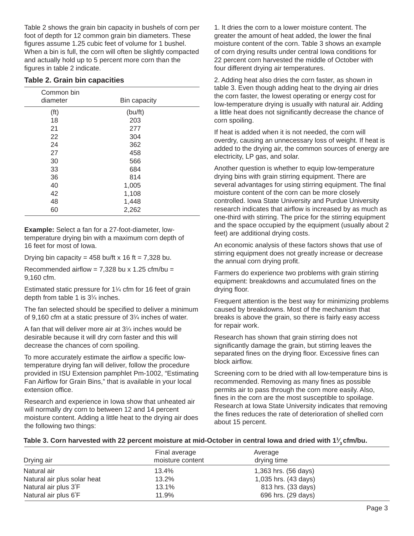Table 2 shows the grain bin capacity in bushels of corn per foot of depth for 12 common grain bin diameters. These figures assume 1.25 cubic feet of volume for 1 bushel. When a bin is full, the corn will often be slightly compacted and actually hold up to 5 percent more corn than the figures in table 2 indicate.

|  |  |  |  |  | Table 2. Grain bin capacities |
|--|--|--|--|--|-------------------------------|
|--|--|--|--|--|-------------------------------|

| Common bin<br>diameter | Bin capacity |  |
|------------------------|--------------|--|
| (f <sup>t</sup> )      | (bu/ft)      |  |
| 18                     | 203          |  |
| 21                     | 277          |  |
| 22                     | 304          |  |
| 24                     | 362          |  |
| 27                     | 458          |  |
| 30                     | 566          |  |
| 33                     | 684          |  |
| 36                     | 814          |  |
| 40                     | 1,005        |  |
| 42                     | 1,108        |  |
| 48                     | 1,448        |  |
| 60                     | 2,262        |  |

**Example:** Select a fan for a 27-foot-diameter, lowtemperature drying bin with a maximum corn depth of 16 feet for most of Iowa.

Drying bin capacity =  $458$  bu/ft x 16 ft = 7,328 bu.

Recommended airflow =  $7,328$  bu x 1.25 cfm/bu = 9,160 cfm.

Estimated static pressure for 1<sup>1/4</sup> cfm for 16 feet of grain depth from table 1 is 31 ⁄4 inches.

The fan selected should be specified to deliver a minimum of 9,160 cfm at a static pressure of 31 ⁄4 inches of water.

A fan that will deliver more air at 31 ⁄4 inches would be desirable because it will dry corn faster and this will decrease the chances of corn spoiling.

To more accurately estimate the airflow a specific lowtemperature drying fan will deliver, follow the procedure provided in ISU Extension pamphlet Pm-1002, "Estimating Fan Airflow for Grain Bins," that is available in your local extension office.

Research and experience in Iowa show that unheated air will normally dry corn to between 12 and 14 percent moisture content. Adding a little heat to the drying air does the following two things:

1. It dries the corn to a lower moisture content. The greater the amount of heat added, the lower the final moisture content of the corn. Table 3 shows an example of corn drying results under central Iowa conditions for 22 percent corn harvested the middle of October with four different drying air temperatures.

2. Adding heat also dries the corn faster, as shown in table 3. Even though adding heat to the drying air dries the corn faster, the lowest operating or energy cost for low-temperature drying is usually with natural air. Adding a little heat does not significantly decrease the chance of corn spoiling.

If heat is added when it is not needed, the corn will overdry, causing an unnecessary loss of weight. If heat is added to the drying air, the common sources of energy are electricity, LP gas, and solar.

Another question is whether to equip low-temperature drying bins with grain stirring equipment. There are several advantages for using stirring equipment. The final moisture content of the corn can be more closely controlled. Iowa State University and Purdue University research indicates that airflow is increased by as much as one-third with stirring. The price for the stirring equipment and the space occupied by the equipment (usually about 2 feet) are additional drying costs.

An economic analysis of these factors shows that use of stirring equipment does not greatly increase or decrease the annual corn drying profit.

Farmers do experience two problems with grain stirring equipment: breakdowns and accumulated fines on the drying floor.

Frequent attention is the best way for minimizing problems caused by breakdowns. Most of the mechanism that breaks is above the grain, so there is fairly easy access for repair work.

Research has shown that grain stirring does not significantly damage the grain, but stirring leaves the separated fines on the drying floor. Excessive fines can block airflow.

Screening corn to be dried with all low-temperature bins is recommended. Removing as many fines as possible permits air to pass through the corn more easily. Also, fines in the corn are the most susceptible to spoilage. Research at Iowa State University indicates that removing the fines reduces the rate of deterioration of shelled corn about 15 percent.

#### **Table 3. Corn harvested with 22 percent moisture at mid-October in central Iowa and dried with 11 3 cfm/bu. ⁄**

| Drying air                  | Final average<br>moisture content | Average<br>drying time |  |
|-----------------------------|-----------------------------------|------------------------|--|
| Natural air                 | 13.4%                             | 1,363 hrs. (56 days)   |  |
| Natural air plus solar heat | 13.2%                             | 1,035 hrs. (43 days)   |  |
| Natural air plus 3°F        | 13.1%                             | 813 hrs. (33 days)     |  |
| Natural air plus 6°F        | 11.9%                             | 696 hrs. (29 days)     |  |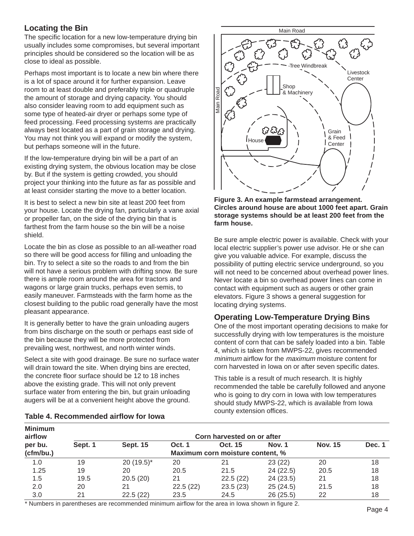# **Locating the Bin**

The specific location for a new low-temperature drying bin usually includes some compromises, but several important principles should be considered so the location will be as close to ideal as possible.

Perhaps most important is to locate a new bin where there is a lot of space around it for further expansion. Leave room to at least double and preferably triple or quadruple the amount of storage and drying capacity. You should also consider leaving room to add equipment such as some type of heated-air dryer or perhaps some type of feed processing. Feed processing systems are practically always best located as a part of grain storage and drying. You may not think you will expand or modify the system, but perhaps someone will in the future.

If the low-temperature drying bin will be a part of an existing drying system, the obvious location may be close by. But if the system is getting crowded, you should project your thinking into the future as far as possible and at least consider starting the move to a better location.

It is best to select a new bin site at least 200 feet from your house. Locate the drying fan, particularly a vane axial or propeller fan, on the side of the drying bin that is farthest from the farm house so the bin will be a noise shield.

Locate the bin as close as possible to an all-weather road so there will be good access for filling and unloading the bin. Try to select a site so the roads to and from the bin will not have a serious problem with drifting snow. Be sure there is ample room around the area for tractors and wagons or large grain trucks, perhaps even semis, to easily maneuver. Farmsteads with the farm home as the closest building to the public road generally have the most pleasant appearance.

It is generally better to have the grain unloading augers from bins discharge on the south or perhaps east side of the bin because they will be more protected from prevailing west, northwest, and north winter winds.

Select a site with good drainage. Be sure no surface water will drain toward the site. When drying bins are erected, the concrete floor surface should be 12 to 18 inches above the existing grade. This will not only prevent surface water from entering the bin, but grain unloading augers will be at a convenient height above the ground.





Be sure ample electric power is available. Check with your local electric supplier's power use advisor. He or she can give you valuable advice. For example, discuss the possibility of putting electric service underground, so you will not need to be concerned about overhead power lines. Never locate a bin so overhead power lines can come in contact with equipment such as augers or other grain elevators. Figure 3 shows a general suggestion for locating drying systems.

# **Operating Low-Temperature Drying Bins**

One of the most important operating decisions to make for successfully drying with low temperatures is the moisture content of corn that can be safely loaded into a bin. Table 4, which is taken from MWPS-22, gives recommended minimum airflow for the *maximum* moisture content for corn harvested in Iowa on or after seven specific dates.

This table is a result of much research. It is highly recommended the table be carefully followed and anyone who is going to dry corn in Iowa with low temperatures should study MWPS-22, which is available from Iowa

| <b>Minimum</b><br>airflow | Corn harvested on or after       |                 |               |          |               |                |        |  |
|---------------------------|----------------------------------|-----------------|---------------|----------|---------------|----------------|--------|--|
| per bu.                   | Sept. 1                          | <b>Sept. 15</b> | <b>Oct. 1</b> | Oct. 15  | <b>Nov. 1</b> | <b>Nov. 15</b> | Dec. 1 |  |
| (cfm/bu.)                 | Maximum corn moisture content, % |                 |               |          |               |                |        |  |
| 1.0                       | 19                               | $20(19.5)^*$    | 20            |          | 23(22)        | 20             | 18     |  |
| 1.25                      | 19                               | 20              | 20.5          | 21.5     | 24(22.5)      | 20.5           | 18     |  |
| 1.5                       | 19.5                             | 20.5(20)        | 21            | 22.5(22) | 24(23.5)      | 21             | 18     |  |
| 2.0                       | 20                               | 21              | 22.5(22)      | 23.5(23) | 25(24.5)      | 21.5           | 18     |  |
| 3.0                       | 21                               | 22.5(22)        | 23.5          | 24.5     | 26(25.5)      | 22             | 18     |  |

county extension offices. **Table 4. Recommended airflow for Iowa**

\* Numbers in parentheses are recommended minimum airflow for the area in Iowa shown in figure 2. Page 4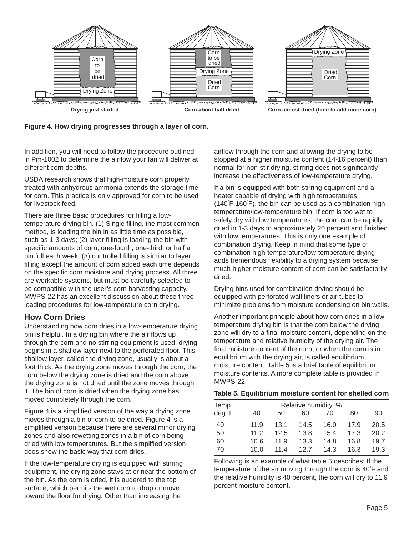

### **Figure 4. How drying progresses through a layer of corn.**

In addition, you will need to follow the procedure outlined in Pm-1002 to determine the airflow your fan will deliver at different corn depths.

USDA research shows that high-moisture corn properly treated with anhydrous ammonia extends the storage time for corn. This practice is only approved for corn to be used for livestock feed.

There are three basic procedures for filling a lowtemperature drying bin. (1) Single filling, the most common method, is loading the bin in as little time as possible, such as 1-3 days; (2) layer filling is loading the bin with specific amounts of corn; one-fourth, one-third, or half a bin full each week; (3) controlled filling is similar to layer filling except the amount of corn added each time depends on the specific corn moisture and drying process. All three are workable systems, but must be carefully selected to be compatible with the user's corn harvesting capacity. MWPS-22 has an excellent discussion about these three loading procedures for low-temperature corn drying.

# **How Corn Dries**

Understanding how corn dries in a low-temperature drying bin is helpful. In a drying bin where the air flows up through the corn and no stirring equipment is used, drying begins in a shallow layer next to the perforated floor. This shallow layer, called the drying zone, usually is about a foot thick. As the drying zone moves through the corn, the corn below the drying zone is dried and the corn above the drying zone is not dried until the zone moves through it. The bin of corn is dried when the drying zone has moved completely through the corn.

Figure 4 is a simplified version of the way a drying zone moves through a bin of corn to be dried. Figure 4 is a simplified version because there are several minor drying zones and also rewetting zones in a bin of corn being dried with low temperatures. But the simplified version does show the basic way that corn dries.

If the low-temperature drying is equipped with stirring equipment, the drying zone stays at or near the bottom of the bin. As the corn is dried, it is augered to the top surface, which permits the wet corn to drop or move toward the floor for drying. Other than increasing the

airflow through the corn and allowing the drying to be stopped at a higher moisture content (14-16 percent) than normal for non-stir drying, stirring does not significantly increase the effectiveness of low-temperature drying.

If a bin is equipped with both stirring equipment and a heater capable of drying with high temperatures (140°F-160°F), the bin can be used as a combination hightemperature/low-temperature bin. If corn is too wet to safely dry with low temperatures, the corn can be rapidly dried in 1-3 days to approximately 20 percent and finished with low temperatures. This is only one example of combination drying. Keep in mind that some type of combination high-temperature/low-temperature drying adds tremendous flexibility to a drying system because much higher moisture content of corn can be satisfactorily dried.

Drying bins used for combination drying should be equipped with perforated wall liners or air tubes to minimize problems from moisture condensing on bin walls.

Another important principle about how corn dries in a lowtemperature drying bin is that the corn below the drying zone will dry to a final moisture content, depending on the temperature and relative humidity of the drying air. The final moisture content of the corn, or when the corn is in equilibrium with the drying air, is called equilibrium moisture content. Table 5 is a brief table of equilibrium moisture contents. A more complete table is provided in MWPS-22.

#### **Table 5. Equilibrium moisture content for shelled corn**

| Relative humidity, %<br>Temp. |      |      |      |      |      |      |
|-------------------------------|------|------|------|------|------|------|
| deg. F                        | 40   | 50   | 60   | 70   | 80   | 90   |
| 40                            | 11.9 | 13.1 | 14.5 | 16.0 | 17.9 | 20.5 |
| 50                            | 11.2 | 12.5 | 13.8 | 15.4 | 17.3 | 20.2 |
| 60                            | 10.6 | 11.9 | 13.3 | 14.8 | 16.8 | 19.7 |
| 70                            | 10.0 | 114  | 127  | 14.3 | 16.3 | 19.3 |

Following is an example of what table 5 describes: If the temperature of the air moving through the corn is  $40^{\circ}$ F and the relative humidity is 40 percent, the corn will dry to 11.9 percent moisture content.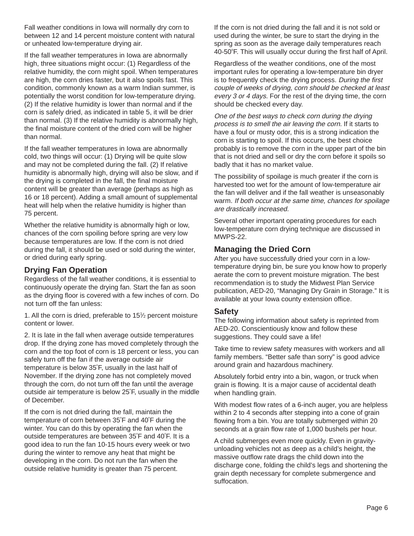Fall weather conditions in Iowa will normally dry corn to between 12 and 14 percent moisture content with natural or unheated low-temperature drying air.

If the fall weather temperatures in Iowa are abnormally high, three situations might occur: (1) Regardless of the relative humidity, the corn might spoil. When temperatures are high, the corn dries faster, but it also spoils fast. This condition, commonly known as a warm Indian summer, is potentially the worst condition for low-temperature drying. (2) If the relative humidity is lower than normal and if the corn is safely dried, as indicated in table 5, it will be drier than normal. (3) If the relative humidity is abnormally high, the final moisture content of the dried corn will be higher than normal.

If the fall weather temperatures in Iowa are abnormally cold, two things will occur: (1) Drying will be quite slow and may not be completed during the fall. (2) If relative humidity is abnormally high, drying will also be slow, and if the drying is completed in the fall, the final moisture content will be greater than average (perhaps as high as 16 or 18 percent). Adding a small amount of supplemental heat will help when the relative humidity is higher than 75 percent.

Whether the relative humidity is abnormally high or low, chances of the corn spoiling before spring are very low because temperatures are low. If the corn is not dried during the fall, it should be used or sold during the winter, or dried during early spring.

# **Drying Fan Operation**

Regardless of the fall weather conditions, it is essential to continuously operate the drying fan. Start the fan as soon as the drying floor is covered with a few inches of corn. Do not turn off the fan unless:

1. All the corn is dried, preferable to 151 ⁄2 percent moisture content or lower.

2. It is late in the fall when average outside temperatures drop. If the drying zone has moved completely through the corn and the top foot of corn is 18 percent or less, you can safely turn off the fan if the average outside air temperature is below 35°F, usually in the last half of November. If the drying zone has not completely moved through the corn, do not turn off the fan until the average outside air temperature is below 25°F, usually in the middle of December.

If the corn is not dried during the fall, maintain the temperature of corn between  $35^{\circ}$ F and  $40^{\circ}$ F during the winter. You can do this by operating the fan when the outside temperatures are between 35°F and 40°F. It is a good idea to run the fan 10-15 hours every week or two during the winter to remove any heat that might be developing in the corn. Do not run the fan when the outside relative humidity is greater than 75 percent.

If the corn is not dried during the fall and it is not sold or used during the winter, be sure to start the drying in the spring as soon as the average daily temperatures reach 40-50°F. This will usually occur during the first half of April.

Regardless of the weather conditions, one of the most important rules for operating a low-temperature bin dryer is to frequently check the drying process. During the first couple of weeks of drying, corn should be checked at least every 3 or 4 days. For the rest of the drying time, the corn should be checked every day.

One of the best ways to check corn during the drying process is to smell the air leaving the corn. If it starts to have a foul or musty odor, this is a strong indication the corn is starting to spoil. If this occurs, the best choice probably is to remove the corn in the upper part of the bin that is not dried and sell or dry the corn before it spoils so badly that it has no market value.

The possibility of spoilage is much greater if the corn is harvested too wet for the amount of low-temperature air the fan will deliver and if the fall weather is unseasonably warm. If both occur at the same time, chances for spoilage are drastically increased.

Several other important operating procedures for each low-temperature corn drying technique are discussed in MWPS-22.

# **Managing the Dried Corn**

After you have successfully dried your corn in a lowtemperature drying bin, be sure you know how to properly aerate the corn to prevent moisture migration. The best recommendation is to study the Midwest Plan Service publication, AED-20, "Managing Dry Grain in Storage." It is available at your Iowa county extension office.

# **Safety**

The following information about safety is reprinted from AED-20. Conscientiously know and follow these suggestions. They could save a life!

Take time to review safety measures with workers and all family members. "Better safe than sorry" is good advice around grain and hazardous machinery.

Absolutely forbid entry into a bin, wagon, or truck when grain is flowing. It is a major cause of accidental death when handling grain.

With modest flow rates of a 6-inch auger, you are helpless within 2 to 4 seconds after stepping into a cone of grain flowing from a bin. You are totally submerged within 20 seconds at a grain flow rate of 1,000 bushels per hour.

A child submerges even more quickly. Even in gravityunloading vehicles not as deep as a child's height, the massive outflow rate drags the child down into the discharge cone, folding the child's legs and shortening the grain depth necessary for complete submergence and suffocation.